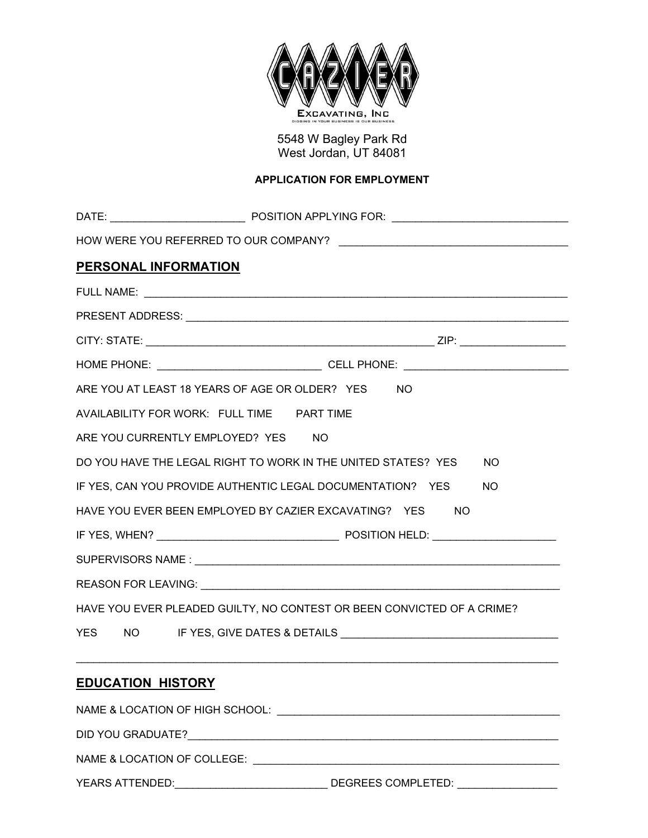

5548 W Bagley Park Rd West Jordan, UT 84081

## **APPLICATION FOR EMPLOYMENT**

| PERSONAL INFORMATION                                                   |                                                                      |  |  |  |
|------------------------------------------------------------------------|----------------------------------------------------------------------|--|--|--|
|                                                                        |                                                                      |  |  |  |
|                                                                        |                                                                      |  |  |  |
|                                                                        |                                                                      |  |  |  |
|                                                                        |                                                                      |  |  |  |
|                                                                        | ARE YOU AT LEAST 18 YEARS OF AGE OR OLDER? YES NO                    |  |  |  |
| AVAILABILITY FOR WORK: FULL TIME PART TIME                             |                                                                      |  |  |  |
| ARE YOU CURRENTLY EMPLOYED? YES NO                                     |                                                                      |  |  |  |
|                                                                        | DO YOU HAVE THE LEGAL RIGHT TO WORK IN THE UNITED STATES? YES<br>NO. |  |  |  |
|                                                                        | IF YES, CAN YOU PROVIDE AUTHENTIC LEGAL DOCUMENTATION? YES<br>NO.    |  |  |  |
|                                                                        | HAVE YOU EVER BEEN EMPLOYED BY CAZIER EXCAVATING? YES<br>-NO         |  |  |  |
|                                                                        |                                                                      |  |  |  |
|                                                                        |                                                                      |  |  |  |
|                                                                        |                                                                      |  |  |  |
| HAVE YOU EVER PLEADED GUILTY, NO CONTEST OR BEEN CONVICTED OF A CRIME? |                                                                      |  |  |  |
|                                                                        |                                                                      |  |  |  |
|                                                                        |                                                                      |  |  |  |
| <b>EDUCATION HISTORY</b>                                               |                                                                      |  |  |  |
|                                                                        |                                                                      |  |  |  |
|                                                                        |                                                                      |  |  |  |

NAME & LOCATION OF COLLEGE: \_\_\_\_\_\_\_\_\_\_\_\_\_\_\_\_\_\_\_\_\_\_\_\_\_\_\_\_\_\_\_\_\_\_\_\_\_\_\_\_\_\_\_\_\_\_\_\_\_\_\_\_

YEARS ATTENDED:\_\_\_\_\_\_\_\_\_\_\_\_\_\_\_\_\_\_\_\_\_\_\_\_\_\_ DEGREES COMPLETED: \_\_\_\_\_\_\_\_\_\_\_\_\_\_\_\_\_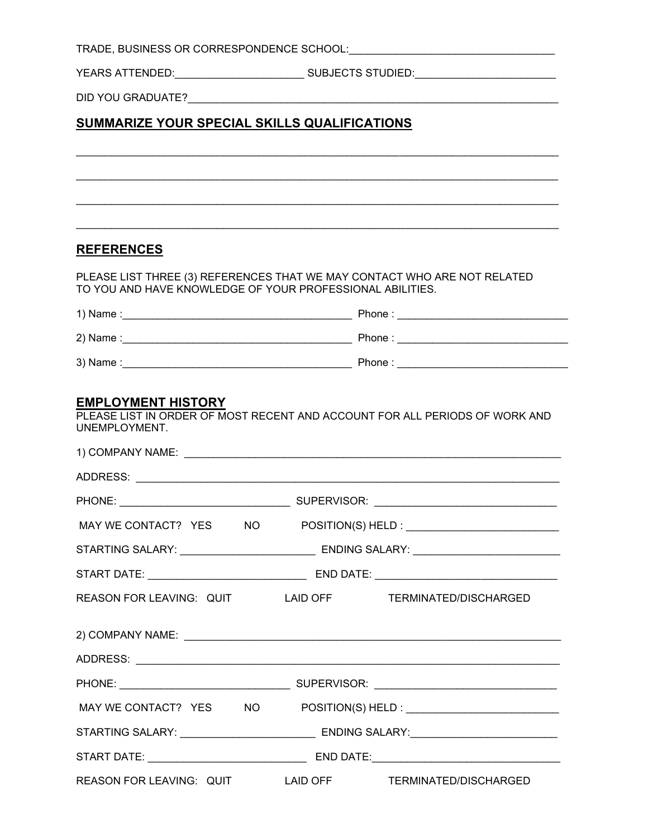|                                                                          |                                                                                   | YEARS ATTENDED:___________________________SUBJECTS STUDIED:_____________________  |
|--------------------------------------------------------------------------|-----------------------------------------------------------------------------------|-----------------------------------------------------------------------------------|
|                                                                          |                                                                                   |                                                                                   |
| SUMMARIZE YOUR SPECIAL SKILLS QUALIFICATIONS                             |                                                                                   |                                                                                   |
|                                                                          |                                                                                   |                                                                                   |
|                                                                          |                                                                                   |                                                                                   |
|                                                                          |                                                                                   |                                                                                   |
|                                                                          |                                                                                   |                                                                                   |
| <b>REFERENCES</b>                                                        |                                                                                   |                                                                                   |
| PLEASE LIST THREE (3) REFERENCES THAT WE MAY CONTACT WHO ARE NOT RELATED |                                                                                   |                                                                                   |
| TO YOU AND HAVE KNOWLEDGE OF YOUR PROFESSIONAL ABILITIES.                |                                                                                   |                                                                                   |
|                                                                          |                                                                                   |                                                                                   |
|                                                                          |                                                                                   |                                                                                   |
|                                                                          |                                                                                   |                                                                                   |
|                                                                          |                                                                                   |                                                                                   |
|                                                                          |                                                                                   |                                                                                   |
|                                                                          |                                                                                   |                                                                                   |
|                                                                          | STARTING SALARY: _________________________________ ENDING SALARY: _______________ |                                                                                   |
|                                                                          |                                                                                   |                                                                                   |
| REASON FOR LEAVING: QUIT LAID OFF TERMINATED/DISCHARGED                  |                                                                                   |                                                                                   |
|                                                                          |                                                                                   |                                                                                   |
|                                                                          |                                                                                   |                                                                                   |
|                                                                          |                                                                                   |                                                                                   |
|                                                                          |                                                                                   |                                                                                   |
|                                                                          |                                                                                   |                                                                                   |
|                                                                          |                                                                                   |                                                                                   |
|                                                                          |                                                                                   | STARTING SALARY: _________________________________ ENDING SALARY:________________ |